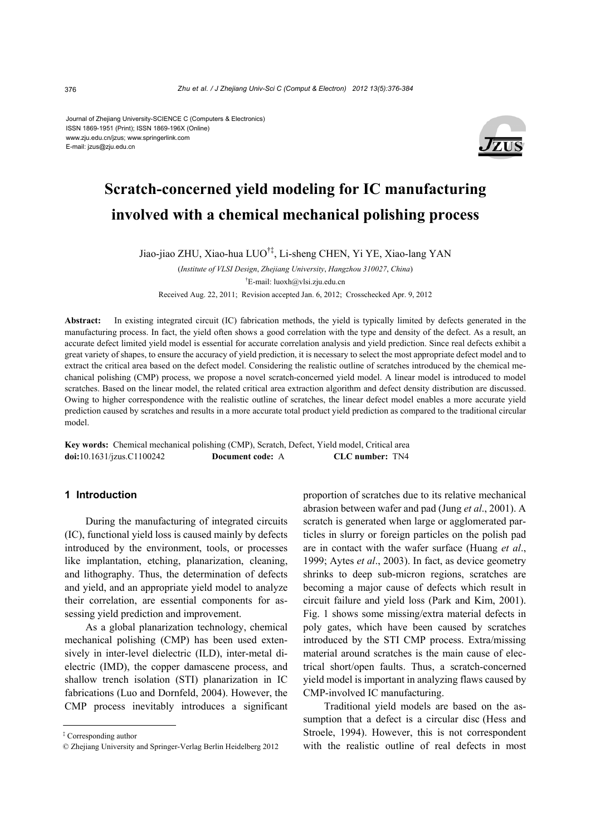Journal of Zhejiang University-SCIENCE C (Computers & Electronics) ISSN 1869-1951 (Print); ISSN 1869-196X (Online) www.zju.edu.cn/jzus; www.springerlink.com E-mail: jzus@zju.edu.cn



# **Scratch-concerned yield modeling for IC manufacturing involved with a chemical mechanical polishing process**

Jiao-jiao ZHU, Xiao-hua LUO†‡, Li-sheng CHEN, Yi YE, Xiao-lang YAN

(*Institute of VLSI Design*, *Zhejiang University*, *Hangzhou 310027*, *China*) † E-mail: luoxh@vlsi.zju.edu.cn Received Aug. 22, 2011; Revision accepted Jan. 6, 2012; Crosschecked Apr. 9, 2012

**Abstract:** In existing integrated circuit (IC) fabrication methods, the yield is typically limited by defects generated in the manufacturing process. In fact, the yield often shows a good correlation with the type and density of the defect. As a result, an accurate defect limited yield model is essential for accurate correlation analysis and yield prediction. Since real defects exhibit a great variety of shapes, to ensure the accuracy of yield prediction, it is necessary to select the most appropriate defect model and to extract the critical area based on the defect model. Considering the realistic outline of scratches introduced by the chemical mechanical polishing (CMP) process, we propose a novel scratch-concerned yield model. A linear model is introduced to model scratches. Based on the linear model, the related critical area extraction algorithm and defect density distribution are discussed. Owing to higher correspondence with the realistic outline of scratches, the linear defect model enables a more accurate yield prediction caused by scratches and results in a more accurate total product yield prediction as compared to the traditional circular model.

**Key words:** Chemical mechanical polishing (CMP), Scratch, Defect, Yield model, Critical area **doi:**10.1631/jzus.C1100242 **Document code:** A **CLC number:** TN4

## **1 Introduction**

During the manufacturing of integrated circuits (IC), functional yield loss is caused mainly by defects introduced by the environment, tools, or processes like implantation, etching, planarization, cleaning, and lithography. Thus, the determination of defects and yield, and an appropriate yield model to analyze their correlation, are essential components for assessing yield prediction and improvement.

As a global planarization technology, chemical mechanical polishing (CMP) has been used extensively in inter-level dielectric (ILD), inter-metal dielectric (IMD), the copper damascene process, and shallow trench isolation (STI) planarization in IC fabrications (Luo and Dornfeld, 2004). However, the CMP process inevitably introduces a significant proportion of scratches due to its relative mechanical abrasion between wafer and pad (Jung *et al*., 2001). A scratch is generated when large or agglomerated particles in slurry or foreign particles on the polish pad are in contact with the wafer surface (Huang *et al*., 1999; Aytes *et al*., 2003). In fact, as device geometry shrinks to deep sub-micron regions, scratches are becoming a major cause of defects which result in circuit failure and yield loss (Park and Kim, 2001). Fig. 1 shows some missing/extra material defects in poly gates, which have been caused by scratches introduced by the STI CMP process. Extra/missing material around scratches is the main cause of electrical short/open faults. Thus, a scratch-concerned yield model is important in analyzing flaws caused by CMP-involved IC manufacturing.

Traditional yield models are based on the assumption that a defect is a circular disc (Hess and Stroele, 1994). However, this is not correspondent with the realistic outline of real defects in most

<sup>‡</sup> Corresponding author

<sup>©</sup> Zhejiang University and Springer-Verlag Berlin Heidelberg 2012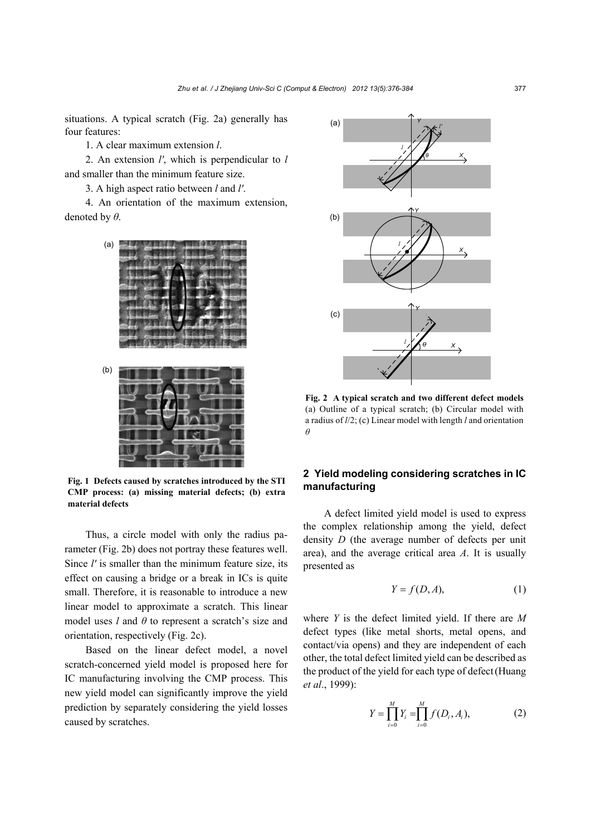situations. A typical scratch (Fig. 2a) generally has four features:

1. A clear maximum extension *l*.

2. An extension *l'*, which is perpendicular to *l* and smaller than the minimum feature size.

3. A high aspect ratio between *l* and *l'*.

4. An orientation of the maximum extension, denoted by *θ*.



**Fig. 1 Defects caused by scratches introduced by the STI CMP process: (a) missing material defects; (b) extra material defects**

Thus, a circle model with only the radius parameter (Fig. 2b) does not portray these features well. Since *l'* is smaller than the minimum feature size, its effect on causing a bridge or a break in ICs is quite small. Therefore, it is reasonable to introduce a new linear model to approximate a scratch. This linear model uses *l* and *θ* to represent a scratch's size and orientation, respectively (Fig. 2c).

Based on the linear defect model, a novel scratch-concerned yield model is proposed here for IC manufacturing involving the CMP process. This new yield model can significantly improve the yield prediction by separately considering the yield losses caused by scratches.



**Fig. 2 A typical scratch and two different defect models**  (a) Outline of a typical scratch; (b) Circular model with a radius of *l*/2; (c) Linear model with length *l* and orientation *θ*

# **2 Yield modeling considering scratches in IC manufacturing**

A defect limited yield model is used to express the complex relationship among the yield, defect density *D* (the average number of defects per unit area), and the average critical area *A*. It is usually presented as

$$
Y = f(D, A),\tag{1}
$$

where *Y* is the defect limited yield. If there are *M* defect types (like metal shorts, metal opens, and contact/via opens) and they are independent of each other, the total defect limited yield can be described as the product of the yield for each type of defect(Huang *et al*., 1999):

$$
Y = \prod_{i=0}^{M} Y_i = \prod_{i=0}^{M} f(D_i, A_i),
$$
 (2)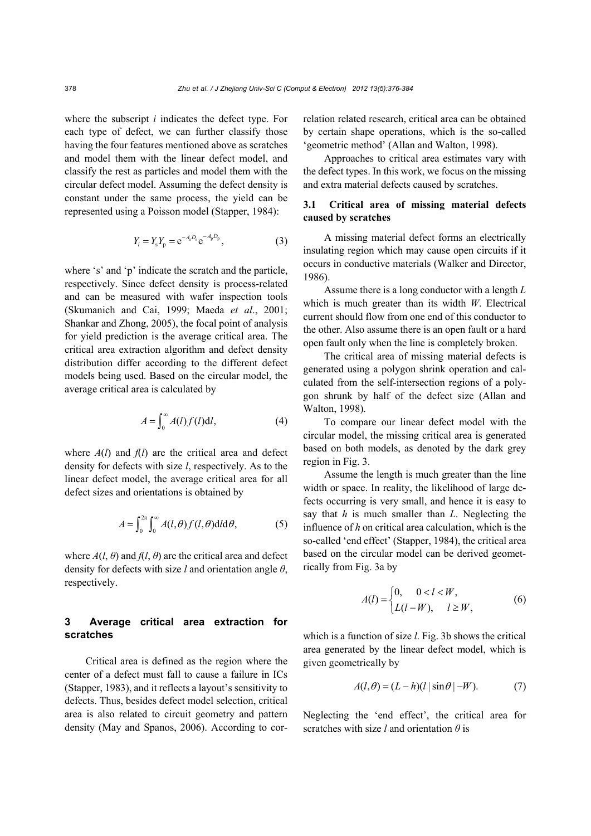where the subscript *i* indicates the defect type. For each type of defect, we can further classify those having the four features mentioned above as scratches and model them with the linear defect model, and classify the rest as particles and model them with the circular defect model. Assuming the defect density is constant under the same process, the yield can be represented using a Poisson model (Stapper, 1984):

$$
Y_i = Y_s Y_p = e^{-A_s D_s} e^{-A_p D_p}, \qquad (3)
$$

where 's' and 'p' indicate the scratch and the particle, respectively. Since defect density is process-related and can be measured with wafer inspection tools (Skumanich and Cai, 1999; Maeda *et al*., 2001; Shankar and Zhong, 2005), the focal point of analysis for yield prediction is the average critical area. The critical area extraction algorithm and defect density distribution differ according to the different defect models being used. Based on the circular model, the average critical area is calculated by

$$
A = \int_0^\infty A(l)f(l)dl,\tag{4}
$$

where *A*(*l*) and *f*(*l*) are the critical area and defect density for defects with size *l*, respectively. As to the linear defect model, the average critical area for all defect sizes and orientations is obtained by

$$
A = \int_0^{2\pi} \int_0^{\infty} A(l,\theta) f(l,\theta) \, \mathrm{d}l \, \mathrm{d}\theta,\tag{5}
$$

where  $A(l, \theta)$  and  $f(l, \theta)$  are the critical area and defect density for defects with size *l* and orientation angle *θ*, respectively.

## **3 Average critical area extraction for scratches**

Critical area is defined as the region where the center of a defect must fall to cause a failure in ICs (Stapper, 1983), and it reflects a layout's sensitivity to defects. Thus, besides defect model selection, critical area is also related to circuit geometry and pattern density (May and Spanos, 2006). According to correlation related research, critical area can be obtained by certain shape operations, which is the so-called 'geometric method' (Allan and Walton, 1998).

Approaches to critical area estimates vary with the defect types. In this work, we focus on the missing and extra material defects caused by scratches.

# **3.1 Critical area of missing material defects caused by scratches**

A missing material defect forms an electrically insulating region which may cause open circuits if it occurs in conductive materials (Walker and Director, 1986).

Assume there is a long conductor with a length *L* which is much greater than its width *W*. Electrical current should flow from one end of this conductor to the other. Also assume there is an open fault or a hard open fault only when the line is completely broken.

The critical area of missing material defects is generated using a polygon shrink operation and calculated from the self-intersection regions of a polygon shrunk by half of the defect size (Allan and Walton, 1998).

To compare our linear defect model with the circular model, the missing critical area is generated based on both models, as denoted by the dark grey region in Fig. 3.

Assume the length is much greater than the line width or space. In reality, the likelihood of large defects occurring is very small, and hence it is easy to say that *h* is much smaller than *L*. Neglecting the influence of *h* on critical area calculation, which is the so-called 'end effect' (Stapper, 1984), the critical area based on the circular model can be derived geometrically from Fig. 3a by

$$
A(l) = \begin{cases} 0, & 0 < l < W, \\ L(l - W), & l \ge W, \end{cases}
$$
 (6)

which is a function of size *l*. Fig. 3b shows the critical area generated by the linear defect model, which is given geometrically by

$$
A(l, \theta) = (L - h)(l | \sin \theta | -W). \tag{7}
$$

Neglecting the 'end effect', the critical area for scratches with size *l* and orientation *θ* is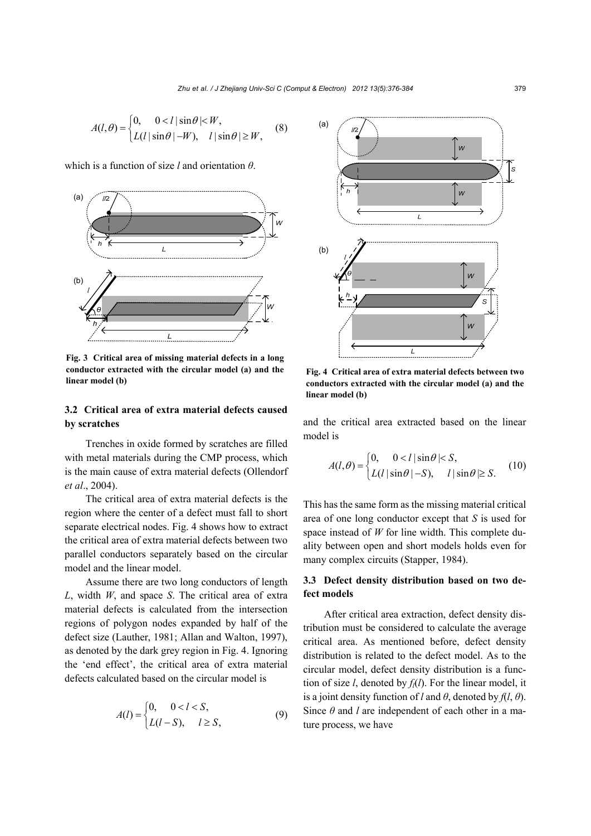$$
A(l, \theta) = \begin{cases} 0, & 0 < l \mid \sin \theta \mid < W, \\ L(l \mid \sin \theta \mid -W), & l \mid \sin \theta \mid \ge W, \end{cases} \tag{8}
$$

which is a function of size *l* and orientation *θ*.



**Fig. 3 Critical area of missing material defects in a long conductor extracted with the circular model (a) and the linear model (b)**

### **3.2 Critical area of extra material defects caused by scratches**

Trenches in oxide formed by scratches are filled with metal materials during the CMP process, which is the main cause of extra material defects (Ollendorf *et al*., 2004).

The critical area of extra material defects is the region where the center of a defect must fall to short separate electrical nodes. Fig. 4 shows how to extract the critical area of extra material defects between two parallel conductors separately based on the circular model and the linear model.

Assume there are two long conductors of length *L*, width *W*, and space *S*. The critical area of extra material defects is calculated from the intersection regions of polygon nodes expanded by half of the defect size (Lauther, 1981; Allan and Walton, 1997), as denoted by the dark grey region in Fig. 4. Ignoring the 'end effect', the critical area of extra material defects calculated based on the circular model is

$$
A(l) = \begin{cases} 0, & 0 < l < S, \\ L(l - S), & l \ge S, \end{cases}
$$
(9)



**Fig. 4 Critical area of extra material defects between two conductors extracted with the circular model (a) and the linear model (b)**

and the critical area extracted based on the linear model is

$$
A(l, \theta) = \begin{cases} 0, & 0 < l \mid \sin \theta \mid < S, \\ L(l \mid \sin \theta \mid -S), & l \mid \sin \theta \mid \geq S. \end{cases} \tag{10}
$$

This has the same form as the missing material critical area of one long conductor except that *S* is used for space instead of *W* for line width. This complete duality between open and short models holds even for many complex circuits (Stapper, 1984).

## **3.3 Defect density distribution based on two defect models**

After critical area extraction, defect density distribution must be considered to calculate the average critical area. As mentioned before, defect density distribution is related to the defect model. As to the circular model, defect density distribution is a function of size  $l$ , denoted by  $f_l(l)$ . For the linear model, it is a joint density function of *l* and  $\theta$ , denoted by  $f(l, \theta)$ . Since *θ* and *l* are independent of each other in a mature process, we have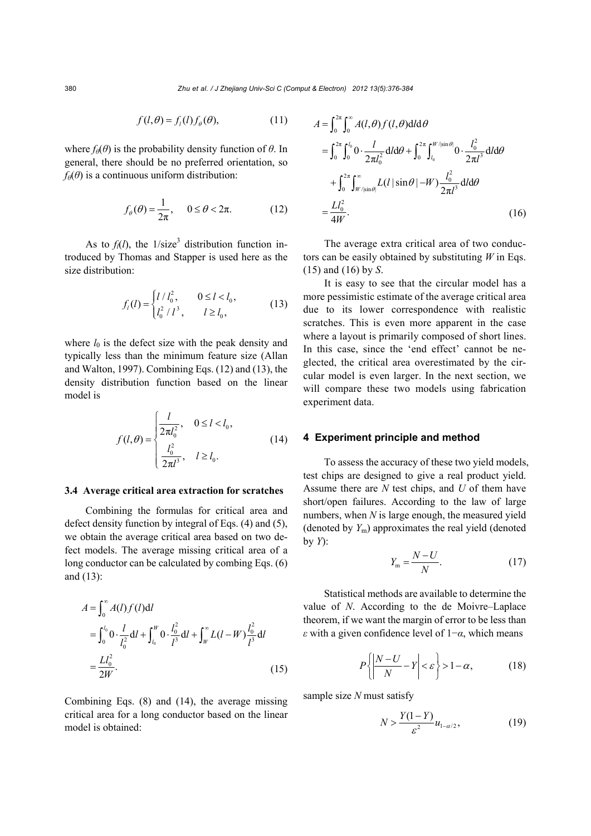$$
f(l, \theta) = f_l(l) f_\theta(\theta), \tag{11}
$$

where  $f_{\theta}(\theta)$  is the probability density function of  $\theta$ . In general, there should be no preferred orientation, so  $f_{\theta}(\theta)$  is a continuous uniform distribution:

$$
f_{\theta}(\theta) = \frac{1}{2\pi}, \quad 0 \le \theta < 2\pi. \tag{12}
$$

As to  $f_l(l)$ , the  $1/\text{size}^3$  distribution function introduced by Thomas and Stapper is used here as the size distribution:

$$
f_l(l) = \begin{cases} l/l_0^2, & 0 \le l < l_0, \\ l_0^2 / l^3, & l \ge l_0, \end{cases}
$$
 (13)

where  $l_0$  is the defect size with the peak density and typically less than the minimum feature size (Allan and Walton, 1997). Combining Eqs. (12) and (13), the density distribution function based on the linear model is

$$
f(l, \theta) = \begin{cases} \frac{l}{2\pi l_0^2}, & 0 \le l < l_0, \\ \frac{l_0^2}{2\pi l^3}, & l \ge l_0. \end{cases}
$$
(14)

#### **3.4 Average critical area extraction for scratches**

Combining the formulas for critical area and defect density function by integral of Eqs. (4) and (5), we obtain the average critical area based on two defect models. The average missing critical area of a long conductor can be calculated by combing Eqs. (6) and (13):

$$
A = \int_0^{\infty} A(l) f(l) \, \mathrm{d}l
$$
\n
$$
= \int_0^{l_0} 0 \cdot \frac{l}{l_0^2} \, \mathrm{d}l + \int_{l_0}^W 0 \cdot \frac{l_0^2}{l^3} \, \mathrm{d}l + \int_W^{\infty} L(l - W) \frac{l_0^2}{l^3} \, \mathrm{d}l
$$
\n
$$
= \frac{L l_0^2}{2W}.
$$
\n(15)

Combining Eqs. (8) and (14), the average missing critical area for a long conductor based on the linear model is obtained:

$$
A = \int_0^{2\pi} \int_0^{\infty} A(l, \theta) f(l, \theta) \, \mathrm{d}l \, \mathrm{d}\theta
$$
\n
$$
= \int_0^{2\pi} \int_0^{l_0} 0 \cdot \frac{l}{2\pi l_0^2} \, \mathrm{d}l \, \mathrm{d}\theta + \int_0^{2\pi} \int_{l_0}^{W/\sin\theta} 0 \cdot \frac{l_0^2}{2\pi l^3} \, \mathrm{d}l \, \mathrm{d}\theta
$$
\n
$$
+ \int_0^{2\pi} \int_{W/\sin\theta}^{\infty} L(l \, |\sin\theta| - W) \frac{l_0^2}{2\pi l^3} \, \mathrm{d}l \, \mathrm{d}\theta
$$
\n
$$
= \frac{L l_0^2}{4W}.
$$
\n(16)

The average extra critical area of two conductors can be easily obtained by substituting *W* in Eqs. (15) and (16) by *S*.

It is easy to see that the circular model has a more pessimistic estimate of the average critical area due to its lower correspondence with realistic scratches. This is even more apparent in the case where a layout is primarily composed of short lines. In this case, since the 'end effect' cannot be neglected, the critical area overestimated by the circular model is even larger. In the next section, we will compare these two models using fabrication experiment data.

#### **4 Experiment principle and method**

To assess the accuracy of these two yield models, test chips are designed to give a real product yield. Assume there are *N* test chips, and *U* of them have short/open failures. According to the law of large numbers, when *N* is large enough, the measured yield (denoted by  $Y_{\text{m}}$ ) approximates the real yield (denoted by *Y*):

$$
Y_{\rm m} = \frac{N - U}{N}.\tag{17}
$$

Statistical methods are available to determine the value of *N*. According to the de Moivre–Laplace theorem, if we want the margin of error to be less than *ε* with a given confidence level of 1−*α*, which means

$$
P\left\{\left|\frac{N-U}{N}-Y\right|<\varepsilon\right\}>1-\alpha,\tag{18}
$$

sample size *N* must satisfy

$$
N > \frac{Y(1 - Y)}{\varepsilon^2} u_{1 - \alpha/2},
$$
\n(19)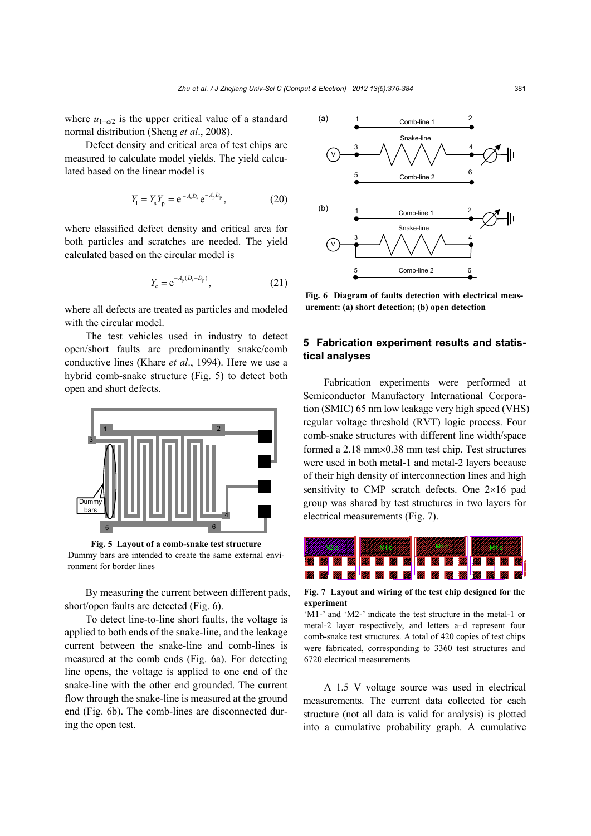where  $u_{1-\alpha/2}$  is the upper critical value of a standard normal distribution (Sheng *et al*., 2008).

Defect density and critical area of test chips are measured to calculate model yields. The yield calculated based on the linear model is

$$
Y_1 = Y_s Y_p = e^{-A_s D_s} e^{-A_p D_p}, \qquad (20)
$$

where classified defect density and critical area for both particles and scratches are needed. The yield calculated based on the circular model is

$$
Y_{\rm c} = e^{-A_{\rm p}(D_{\rm s} + D_{\rm p})},\tag{21}
$$

where all defects are treated as particles and modeled with the circular model.

The test vehicles used in industry to detect open/short faults are predominantly snake/comb conductive lines (Khare *et al*., 1994). Here we use a hybrid comb-snake structure (Fig. 5) to detect both open and short defects.



**Fig. 5 Layout of a comb-snake test structure**  Dummy bars are intended to create the same external environment for border lines

By measuring the current between different pads, short/open faults are detected (Fig. 6).

To detect line-to-line short faults, the voltage is applied to both ends of the snake-line, and the leakage current between the snake-line and comb-lines is measured at the comb ends (Fig. 6a). For detecting line opens, the voltage is applied to one end of the snake-line with the other end grounded. The current flow through the snake-line is measured at the ground end (Fig. 6b). The comb-lines are disconnected during the open test.



**Fig. 6 Diagram of faults detection with electrical measurement: (a) short detection; (b) open detection**

### **5 Fabrication experiment results and statistical analyses**

Fabrication experiments were performed at Semiconductor Manufactory International Corporation (SMIC) 65 nm low leakage very high speed (VHS) regular voltage threshold (RVT) logic process. Four comb-snake structures with different line width/space formed a  $2.18$  mm $\times$ 0.38 mm test chip. Test structures were used in both metal-1 and metal-2 layers because of their high density of interconnection lines and high sensitivity to CMP scratch defects. One  $2\times16$  pad group was shared by test structures in two layers for electrical measurements (Fig. 7).



**Fig. 7 Layout and wiring of the test chip designed for the experiment** 

'M1-' and 'M2-' indicate the test structure in the metal-1 or metal-2 layer respectively, and letters a–d represent four comb-snake test structures. A total of 420 copies of test chips were fabricated, corresponding to 3360 test structures and 6720 electrical measurements

A 1.5 V voltage source was used in electrical measurements. The current data collected for each structure (not all data is valid for analysis) is plotted into a cumulative probability graph. A cumulative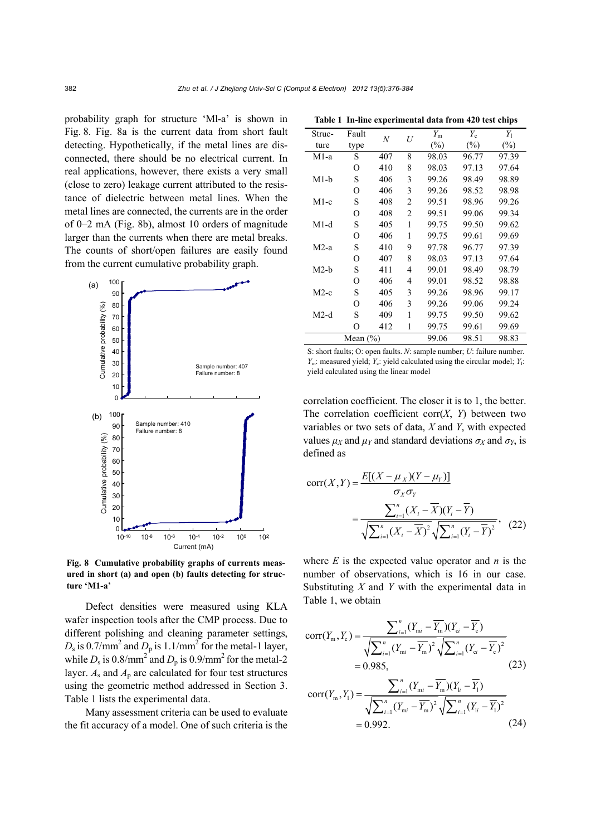probability graph for structure 'Ml-a' is shown in Fig. 8. Fig. 8a is the current data from short fault detecting. Hypothetically, if the metal lines are disconnected, there should be no electrical current. In real applications, however, there exists a very small (close to zero) leakage current attributed to the resistance of dielectric between metal lines. When the metal lines are connected, the currents are in the order of 0–2 mA (Fig. 8b), almost 10 orders of magnitude larger than the currents when there are metal breaks. The counts of short/open failures are easily found from the current cumulative probability graph.



**Fig. 8 Cumulative probability graphs of currents measured in short (a) and open (b) faults detecting for structure 'M1-a'**

Defect densities were measured using KLA wafer inspection tools after the CMP process. Due to different polishing and cleaning parameter settings,  $D_s$  is 0.7/mm<sup>2</sup> and  $D_p$  is 1.1/mm<sup>2</sup> for the metal-1 layer, while  $D_s$  is 0.8/mm<sup>2</sup> and  $D_p$  is 0.9/mm<sup>2</sup> for the metal-2 layer.  $A_s$  and  $A_p$  are calculated for four test structures using the geometric method addressed in Section 3. Table 1 lists the experimental data.

Many assessment criteria can be used to evaluate the fit accuracy of a model. One of such criteria is the

| Struc-       | Fault | N   | U     | $Y_{\rm m}$ | $Y_c$  | $Y_1$  |
|--------------|-------|-----|-------|-------------|--------|--------|
| ture         | type  |     |       | $(\%)$      | $(\%)$ | $(\%)$ |
| $M1-a$       | S     | 407 | 8     | 98.03       | 96.77  | 97.39  |
|              | O     | 410 | 8     | 98.03       | 97.13  | 97.64  |
| $M1-b$       | S     | 406 | 3     | 99.26       | 98.49  | 98.89  |
|              | O     | 406 | 3     | 99.26       | 98.52  | 98.98  |
| $M1-c$       | S     | 408 | 2     | 99.51       | 98.96  | 99.26  |
|              | O     | 408 | 2     | 99.51       | 99.06  | 99.34  |
| $M1-d$       | S     | 405 | 1     | 99.75       | 99.50  | 99.62  |
|              | O     | 406 | 1     | 99.75       | 99.61  | 99.69  |
| $M2-a$       | S     | 410 | 9     | 97.78       | 96.77  | 97.39  |
|              | O     | 407 | 8     | 98.03       | 97.13  | 97.64  |
| $M2-b$       | S     | 411 | 4     | 99.01       | 98.49  | 98.79  |
|              | O     | 406 | 4     | 99.01       | 98.52  | 98.88  |
| $M2-c$       | S     | 405 | 3     | 99.26       | 98.96  | 99.17  |
|              | O     | 406 | 3     | 99.26       | 99.06  | 99.24  |
| $M2-d$       | S     | 409 | 1     | 99.75       | 99.50  | 99.62  |
|              | O     | 412 | 1     | 99.75       | 99.61  | 99.69  |
| Mean $(\% )$ |       |     | 99.06 | 98.51       | 98.83  |        |

**Table 1 In-line experimental data from 420 test chips** 

S: short faults; O: open faults. *N*: sample number; *U*: failure number. *Y*<sub>m</sub>: measured yield; *Y*<sub>c</sub>: yield calculated using the circular model; *Y*<sub>1</sub>: yield calculated using the linear model

correlation coefficient. The closer it is to 1, the better. The correlation coefficient corr $(X, Y)$  between two variables or two sets of data, *X* and *Y*, with expected values  $\mu_X$  and  $\mu_Y$  and standard deviations  $\sigma_X$  and  $\sigma_Y$ , is defined as

$$
corr(X, Y) = \frac{E[(X - \mu_X)(Y - \mu_Y)]}{\sigma_X \sigma_Y}
$$
  
= 
$$
\frac{\sum_{i=1}^{n} (X_i - \overline{X})(Y_i - \overline{Y})}{\sqrt{\sum_{i=1}^{n} (X_i - \overline{X})^2} \sqrt{\sum_{i=1}^{n} (Y_i - \overline{Y})^2}},
$$
(22)

where  $E$  is the expected value operator and  $n$  is the number of observations, which is 16 in our case. Substituting *X* and *Y* with the experimental data in Table 1, we obtain

$$
corr(Y_m, Y_c) = \frac{\sum_{i=1}^{n} (Y_{mi} - \overline{Y_m})(Y_{ci} - \overline{Y_c})}{\sqrt{\sum_{i=1}^{n} (Y_{mi} - \overline{Y_m})^2} \sqrt{\sum_{i=1}^{n} (Y_{ci} - \overline{Y_c})^2}}
$$
  
= 0.985, (23)

$$
corr(Y_m, Y_1) = \frac{\sum_{i=1}^{n} (Y_{mi} - \overline{Y_m})(Y_{li} - \overline{Y_l})}{\sqrt{\sum_{i=1}^{n} (Y_{mi} - \overline{Y_m})^2} \sqrt{\sum_{i=1}^{n} (Y_{li} - \overline{Y_l})^2}}
$$
  
= 0.992. (24)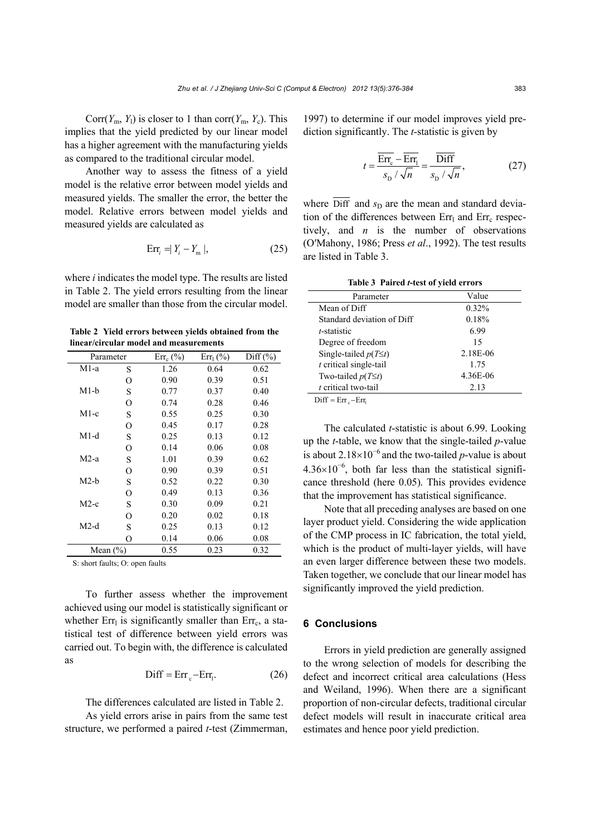Corr( $Y_m$ ,  $Y_l$ ) is closer to 1 than corr( $Y_m$ ,  $Y_c$ ). This implies that the yield predicted by our linear model has a higher agreement with the manufacturing yields as compared to the traditional circular model.

Another way to assess the fitness of a yield model is the relative error between model yields and measured yields. The smaller the error, the better the model. Relative errors between model yields and measured yields are calculated as

$$
Err_i = |Y_i - Y_m|,\t\t(25)
$$

where *i* indicates the model type. The results are listed in Table 2. The yield errors resulting from the linear model are smaller than those from the circular model.

**Table 2 Yield errors between yields obtained from the linear/circular model and measurements** 

| Parameter    |   | $Err_c$ (%) | $Err_1$ (%) | $Diff (\%)$ |
|--------------|---|-------------|-------------|-------------|
| $M1-a$       | S | 1.26        | 0.64        | 0.62        |
|              | О | 0.90        | 0.39        | 0.51        |
| $M1-b$       | S | 0.77        | 0.37        | 0.40        |
|              | O | 0.74        | 0.28        | 0.46        |
| $M1-c$       | S | 0.55        | 0.25        | 0.30        |
|              | O | 0.45        | 0.17        | 0.28        |
| $M1-d$       | S | 0.25        | 0.13        | 0.12        |
|              | O | 0.14        | 0.06        | 0.08        |
| $M2-a$       | S | 1.01        | 0.39        | 0.62        |
|              | O | 0.90        | 0.39        | 0.51        |
| $M2-b$       | S | 0.52        | 0.22        | 0.30        |
|              | O | 0.49        | 0.13        | 0.36        |
| $M2-c$       | S | 0.30        | 0.09        | 0.21        |
|              | О | 0.20        | 0.02        | 0.18        |
| $M2-d$       | S | 0.25        | 0.13        | 0.12        |
|              | O | 0.14        | 0.06        | 0.08        |
| Mean $(\% )$ |   | 0.55        | 0.23        | 0.32        |
|              |   |             |             |             |

S: short faults; O: open faults

To further assess whether the improvement achieved using our model is statistically significant or whether  $Err_1$  is significantly smaller than  $Err_c$ , a statistical test of difference between yield errors was carried out. To begin with, the difference is calculated as

$$
Diff = Errc-Err1.
$$
 (26)

The differences calculated are listed in Table 2.

As yield errors arise in pairs from the same test structure, we performed a paired *t*-test (Zimmerman,

1997) to determine if our model improves yield prediction significantly. The *t*-statistic is given by

$$
t = \frac{\overline{\text{Err}_c} - \overline{\text{Err}_l}}{s_D / \sqrt{n}} = \frac{\overline{\text{Diff}}}{s_D / \sqrt{n}},
$$
 (27)

where Diff and  $s<sub>D</sub>$  are the mean and standard deviation of the differences between  $Err_1$  and  $Err_2$  respectively, and *n* is the number of observations (O′Mahony, 1986; Press *et al*., 1992). The test results are listed in Table 3.

**Table 3 Paired** *t***-test of yield errors** 

| Parameter                   | Value    |  |
|-----------------------------|----------|--|
| Mean of Diff                | 0.32%    |  |
| Standard deviation of Diff  | 0.18%    |  |
| <i>t</i> -statistic         | 6.99     |  |
| Degree of freedom           | 15       |  |
| Single-tailed $p(T \leq t)$ | 2.18E-06 |  |
| $t$ critical single-tail    | 1.75     |  |
| Two-tailed $p(T \leq t)$    | 4.36E-06 |  |
| $t$ critical two-tail       | 2.13     |  |

 $\text{Diff} = \text{Err}_{a} - \text{Err}_{b}$ 

The calculated *t*-statistic is about 6.99. Looking up the *t*-table, we know that the single-tailed *p*-value is about 2.18×10<sup>-6</sup> and the two-tailed *p*-value is about  $4.36\times10^{-6}$ , both far less than the statistical significance threshold (here 0.05). This provides evidence that the improvement has statistical significance.

Note that all preceding analyses are based on one layer product yield. Considering the wide application of the CMP process in IC fabrication, the total yield, which is the product of multi-layer yields, will have an even larger difference between these two models. Taken together, we conclude that our linear model has significantly improved the yield prediction.

#### **6 Conclusions**

Errors in yield prediction are generally assigned to the wrong selection of models for describing the defect and incorrect critical area calculations (Hess and Weiland, 1996). When there are a significant proportion of non-circular defects, traditional circular defect models will result in inaccurate critical area estimates and hence poor yield prediction.